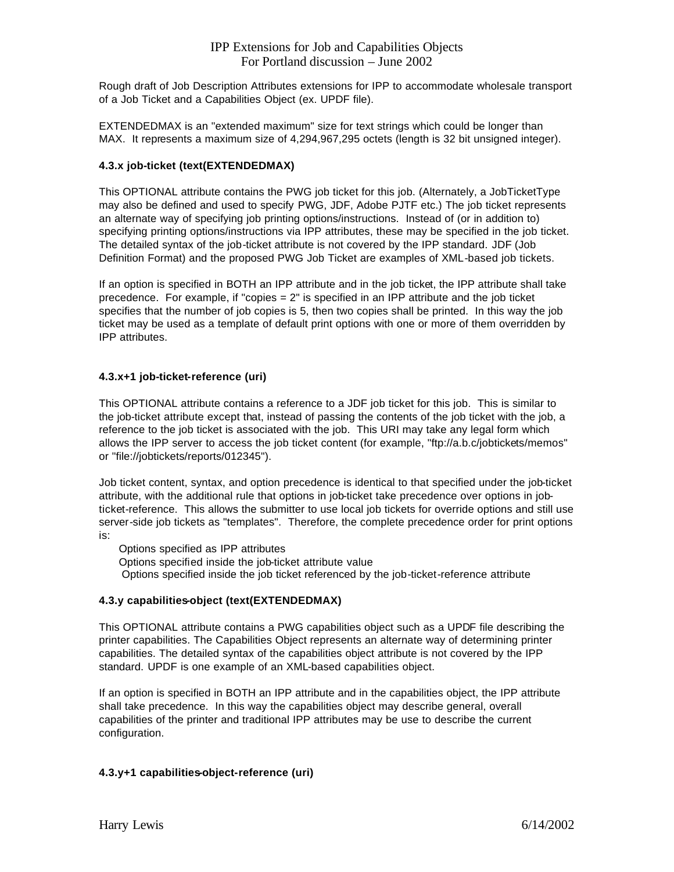## IPP Extensions for Job and Capabilities Objects For Portland discussion – June 2002

Rough draft of Job Description Attributes extensions for IPP to accommodate wholesale transport of a Job Ticket and a Capabilities Object (ex. UPDF file).

EXTENDEDMAX is an "extended maximum" size for text strings which could be longer than MAX. It represents a maximum size of 4,294,967,295 octets (length is 32 bit unsigned integer).

### **4.3.x job-ticket (text(EXTENDEDMAX)**

This OPTIONAL attribute contains the PWG job ticket for this job. (Alternately, a JobTicketType may also be defined and used to specify PWG, JDF, Adobe PJTF etc.) The job ticket represents an alternate way of specifying job printing options/instructions. Instead of (or in addition to) specifying printing options/instructions via IPP attributes, these may be specified in the job ticket. The detailed syntax of the job-ticket attribute is not covered by the IPP standard. JDF (Job Definition Format) and the proposed PWG Job Ticket are examples of XML-based job tickets.

If an option is specified in BOTH an IPP attribute and in the job ticket, the IPP attribute shall take precedence. For example, if "copies  $= 2$ " is specified in an IPP attribute and the job ticket specifies that the number of job copies is 5, then two copies shall be printed. In this way the job ticket may be used as a template of default print options with one or more of them overridden by IPP attributes.

#### **4.3.x+1 job-ticket-reference (uri)**

This OPTIONAL attribute contains a reference to a JDF job ticket for this job. This is similar to the job-ticket attribute except that, instead of passing the contents of the job ticket with the job, a reference to the job ticket is associated with the job. This URI may take any legal form which allows the IPP server to access the job ticket content (for example, "ftp://a.b.c/jobtickets/memos" or "file://jobtickets/reports/012345").

Job ticket content, syntax, and option precedence is identical to that specified under the job-ticket attribute, with the additional rule that options in job-ticket take precedence over options in jobticket-reference. This allows the submitter to use local job tickets for override options and still use server-side job tickets as "templates". Therefore, the complete precedence order for print options is:

Options specified as IPP attributes

Options specified inside the job-ticket attribute value

Options specified inside the job ticket referenced by the job-ticket-reference attribute

#### **4.3.y capabilities-object (text(EXTENDEDMAX)**

This OPTIONAL attribute contains a PWG capabilities object such as a UPDF file describing the printer capabilities. The Capabilities Object represents an alternate way of determining printer capabilities. The detailed syntax of the capabilities object attribute is not covered by the IPP standard. UPDF is one example of an XML-based capabilities object.

If an option is specified in BOTH an IPP attribute and in the capabilities object, the IPP attribute shall take precedence. In this way the capabilities object may describe general, overall capabilities of the printer and traditional IPP attributes may be use to describe the current configuration.

## **4.3.y+1 capabilities-object-reference (uri)**